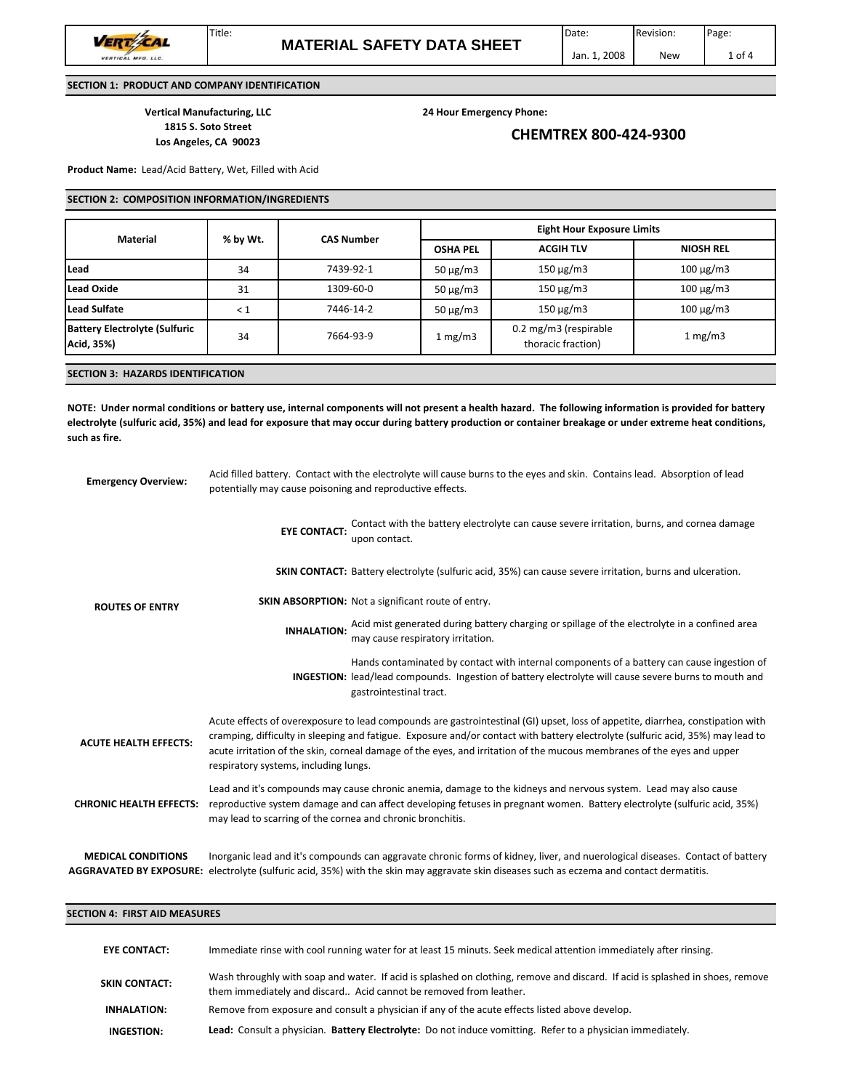VERT CAL **MFG. LLC.** 

VERTICAL

**Vertical Manufacturing, LLC 24 Hour Emergency Phone:**

Title:

# **<sup>1815</sup> S. Soto Street CHEMTREX <sup>800</sup>‐424‐<sup>9300</sup> Los Angeles, CA <sup>90023</sup>**

**Product Name:** Lead/Acid Battery, Wet, Filled with Acid

## **SECTION 2: COMPOSITION INFORMATION/INGREDIENTS**

| <b>CAS Number</b> | <b>OSHA PEL</b>                                                     |                  |                  |  |
|-------------------|---------------------------------------------------------------------|------------------|------------------|--|
|                   |                                                                     | <b>ACGIH TLV</b> | <b>NIOSH REL</b> |  |
| 7439-92-1         | $50 \mu g/m3$                                                       | $150 \mu g/m3$   | $100 \mu g/m3$   |  |
| 1309-60-0         | $50 \mu g/m3$                                                       | $150 \mu g/m3$   | $100 \mu g/m3$   |  |
| 7446-14-2         | $50 \mu g/m3$                                                       | $150 \mu g/m3$   | $100 \mu g/m3$   |  |
| 7664-93-9         | 0.2 mg/m3 (respirable<br>$1 \,\mathrm{mg/m3}$<br>thoracic fraction) |                  | $1 \text{ mg/m}$ |  |
|                   |                                                                     |                  |                  |  |

## **SECTION 3: HAZARDS IDENTIFICATION**

NOTE: Under normal conditions or battery use, internal components will not present a health hazard. The following information is provided for battery electrolyte (sulfuric acid, 35%) and lead for exposure that may occur during battery production or container breakage or under extreme heat conditions, **such as fire.**

| <b>Emergency Overview:</b>                                  | Acid filled battery. Contact with the electrolyte will cause burns to the eyes and skin. Contains lead. Absorption of lead<br>potentially may cause poisoning and reproductive effects.                                                                                                                   |                                                                                                                                                                                                                                                                                                                                                                                             |  |  |  |
|-------------------------------------------------------------|-----------------------------------------------------------------------------------------------------------------------------------------------------------------------------------------------------------------------------------------------------------------------------------------------------------|---------------------------------------------------------------------------------------------------------------------------------------------------------------------------------------------------------------------------------------------------------------------------------------------------------------------------------------------------------------------------------------------|--|--|--|
| <b>ROUTES OF ENTRY</b>                                      | <b>EYE CONTACT:</b>                                                                                                                                                                                                                                                                                       | Contact with the battery electrolyte can cause severe irritation, burns, and cornea damage<br>upon contact.                                                                                                                                                                                                                                                                                 |  |  |  |
|                                                             |                                                                                                                                                                                                                                                                                                           | <b>SKIN CONTACT:</b> Battery electrolyte (sulfuric acid, 35%) can cause severe irritation, burns and ulceration.                                                                                                                                                                                                                                                                            |  |  |  |
|                                                             |                                                                                                                                                                                                                                                                                                           | <b>SKIN ABSORPTION:</b> Not a significant route of entry.                                                                                                                                                                                                                                                                                                                                   |  |  |  |
|                                                             | <b>INHALATION:</b>                                                                                                                                                                                                                                                                                        | Acid mist generated during battery charging or spillage of the electrolyte in a confined area<br>may cause respiratory irritation.                                                                                                                                                                                                                                                          |  |  |  |
|                                                             |                                                                                                                                                                                                                                                                                                           | Hands contaminated by contact with internal components of a battery can cause ingestion of<br><b>INGESTION:</b> lead/lead compounds. Ingestion of battery electrolyte will cause severe burns to mouth and<br>gastrointestinal tract.                                                                                                                                                       |  |  |  |
| <b>ACUTE HEALTH EFFECTS:</b>                                | respiratory systems, including lungs.                                                                                                                                                                                                                                                                     | Acute effects of overexposure to lead compounds are gastrointestinal (GI) upset, loss of appetite, diarrhea, constipation with<br>cramping, difficulty in sleeping and fatigue. Exposure and/or contact with battery electrolyte (sulfuric acid, 35%) may lead to<br>acute irritation of the skin, corneal damage of the eyes, and irritation of the mucous membranes of the eyes and upper |  |  |  |
| <b>CHRONIC HEALTH EFFECTS:</b>                              | Lead and it's compounds may cause chronic anemia, damage to the kidneys and nervous system. Lead may also cause<br>reproductive system damage and can affect developing fetuses in pregnant women. Battery electrolyte (sulfuric acid, 35%)<br>may lead to scarring of the cornea and chronic bronchitis. |                                                                                                                                                                                                                                                                                                                                                                                             |  |  |  |
| <b>MEDICAL CONDITIONS</b><br><b>AGGRAVATED BY EXPOSURE:</b> |                                                                                                                                                                                                                                                                                                           | Inorganic lead and it's compounds can aggravate chronic forms of kidney, liver, and nuerological diseases. Contact of battery<br>electrolyte (sulfuric acid, 35%) with the skin may aggravate skin diseases such as eczema and contact dermatitis.                                                                                                                                          |  |  |  |

### **SECTION 4: FIRST AID MEASURES**

| <b>EYE CONTACT:</b>  | Immediate rinse with cool running water for at least 15 minuts. Seek medical attention immediately after rinsing.                                                                                  |
|----------------------|----------------------------------------------------------------------------------------------------------------------------------------------------------------------------------------------------|
| <b>SKIN CONTACT:</b> | Wash throughly with soap and water. If acid is splashed on clothing, remove and discard. If acid is splashed in shoes, remove<br>them immediately and discard Acid cannot be removed from leather. |
| <b>INHALATION:</b>   | Remove from exposure and consult a physician if any of the acute effects listed above develop.                                                                                                     |
| INGESTION:           | Lead: Consult a physician. Battery Electrolyte: Do not induce vomitting. Refer to a physician immediately.                                                                                         |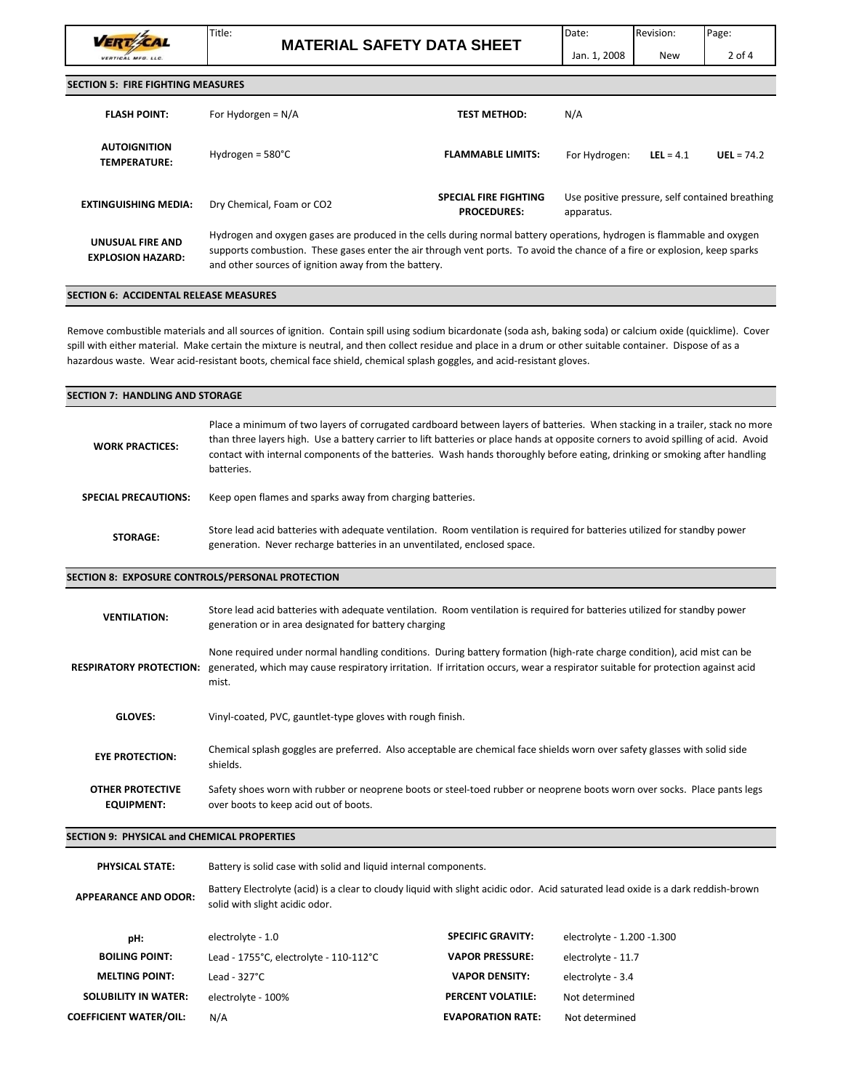Title: VERT CAL VERTICAL **MFG. LLC.** 

**MATERIAL SAFETY DATA SHEET**

**SECTION 5: FIRE FIGHTING MEASURES**

| <b>FLASH POINT:</b>                          | For Hydorgen = $N/A$                                                                                                                                                                                                                                                                                         | <b>TEST METHOD:</b>                                | N/A                                                           |             |              |
|----------------------------------------------|--------------------------------------------------------------------------------------------------------------------------------------------------------------------------------------------------------------------------------------------------------------------------------------------------------------|----------------------------------------------------|---------------------------------------------------------------|-------------|--------------|
| <b>AUTOIGNITION</b><br><b>TEMPERATURE:</b>   | Hydrogen = $580^{\circ}$ C                                                                                                                                                                                                                                                                                   | <b>FLAMMABLE LIMITS:</b>                           | For Hydrogen:                                                 | LEL = $4.1$ | $UEL = 74.2$ |
| EXTINGUISHING MEDIA:                         | Dry Chemical, Foam or CO2                                                                                                                                                                                                                                                                                    | <b>SPECIAL FIRE FIGHTING</b><br><b>PROCEDURES:</b> | Use positive pressure, self contained breathing<br>apparatus. |             |              |
| UNUSUAL FIRE AND<br><b>EXPLOSION HAZARD:</b> | Hydrogen and oxygen gases are produced in the cells during normal battery operations, hydrogen is flammable and oxygen<br>supports combustion. These gases enter the air through vent ports. To avoid the chance of a fire or explosion, keep sparks<br>and other sources of ignition away from the battery. |                                                    |                                                               |             |              |

## **SECTION 6: ACCIDENTAL RELEASE MEASURES**

Remove combustible materials and all sources of ignition. Contain spill using sodium bicardonate (soda ash, baking soda) or calcium oxide (quicklime). Cover spill with either material. Make certain the mixture is neutral, and then collect residue and place in a drum or other suitable container. Dispose of as a hazardous waste. Wear acid‐resistant boots, chemical face shield, chemical splash goggles, and acid‐resistant gloves.

| <b>SECTION 7: HANDLING AND STORAGE</b>           |                                                                                                                                                                                                                                                                                                                                                                                                                 |  |
|--------------------------------------------------|-----------------------------------------------------------------------------------------------------------------------------------------------------------------------------------------------------------------------------------------------------------------------------------------------------------------------------------------------------------------------------------------------------------------|--|
| <b>WORK PRACTICES:</b>                           | Place a minimum of two layers of corrugated cardboard between layers of batteries. When stacking in a trailer, stack no more<br>than three layers high. Use a battery carrier to lift batteries or place hands at opposite corners to avoid spilling of acid. Avoid<br>contact with internal components of the batteries. Wash hands thoroughly before eating, drinking or smoking after handling<br>batteries. |  |
| <b>SPECIAL PRECAUTIONS:</b>                      | Keep open flames and sparks away from charging batteries.                                                                                                                                                                                                                                                                                                                                                       |  |
| <b>STORAGE:</b>                                  | Store lead acid batteries with adequate ventilation. Room ventilation is required for batteries utilized for standby power<br>generation. Never recharge batteries in an unventilated, enclosed space.                                                                                                                                                                                                          |  |
| SECTION 8: EXPOSURE CONTROLS/PERSONAL PROTECTION |                                                                                                                                                                                                                                                                                                                                                                                                                 |  |

| <b>VENTILATION:</b>                          | Store lead acid batteries with adequate ventilation. Room ventilation is required for batteries utilized for standby power<br>generation or in area designated for battery charging                                                                                 |
|----------------------------------------------|---------------------------------------------------------------------------------------------------------------------------------------------------------------------------------------------------------------------------------------------------------------------|
| <b>RESPIRATORY PROTECTION:</b>               | None required under normal handling conditions. During battery formation (high-rate charge condition), acid mist can be<br>generated, which may cause respiratory irritation. If irritation occurs, wear a respirator suitable for protection against acid<br>mist. |
| <b>GLOVES:</b>                               | Vinyl-coated, PVC, gauntlet-type gloves with rough finish.                                                                                                                                                                                                          |
| <b>EYE PROTECTION:</b>                       | Chemical splash goggles are preferred. Also acceptable are chemical face shields worn over safety glasses with solid side<br>shields.                                                                                                                               |
| <b>OTHER PROTECTIVE</b><br><b>EQUIPMENT:</b> | Safety shoes worn with rubber or neoprene boots or steel-toed rubber or neoprene boots worn over socks. Place pants legs<br>over boots to keep acid out of boots.                                                                                                   |

#### **SECTION 9: PHYSICAL and CHEMICAL PROPERTIES**

**PHYSICAL STATE:** Battery is solid case with solid and liquid internal components. **APPEARANCE AND ODOR:** Battery Electrolyte (acid) is a clear to cloudy liquid with slight acidic odor. Acid saturated lead oxide is a dark reddish-brown solid with slight acidic odor.

| pH:                           | electrolyte - 1.0                      | <b>SPECIFIC GRAVITY:</b> | electrolyte - 1.200 -1.300 |
|-------------------------------|----------------------------------------|--------------------------|----------------------------|
| <b>BOILING POINT:</b>         | Lead - 1755°C, electrolyte - 110-112°C | <b>VAPOR PRESSURE:</b>   | electrolyte - 11.7         |
| <b>MELTING POINT:</b>         | Lead - $327^{\circ}$ C                 | <b>VAPOR DENSITY:</b>    | electrolyte - 3.4          |
| <b>SOLUBILITY IN WATER:</b>   | electrolyte - 100%                     | <b>PERCENT VOLATILE:</b> | Not determined             |
| <b>COEFFICIENT WATER/OIL:</b> | N/A                                    | <b>EVAPORATION RATE:</b> | Not determined             |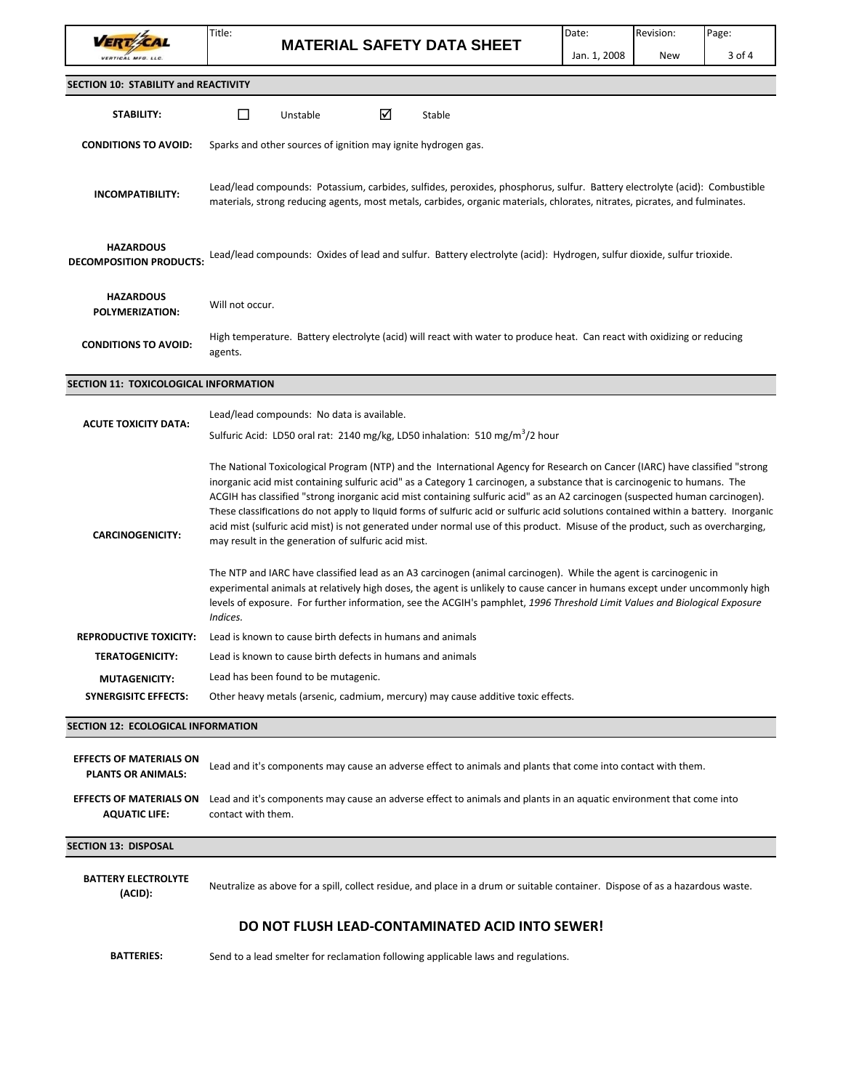VERT ZAL

Title:

**MATERIAL SAFETY DATA SHEET**

| <b>SECTION 10: STABILITY and REACTIVITY</b>                 |                                                                                                                                                                                                                                                           |                                                                                          |   |                                                                                                                                                                                                                                                                                                                                                                                                                                                                                                                                                                                                                                                                    |  |  |
|-------------------------------------------------------------|-----------------------------------------------------------------------------------------------------------------------------------------------------------------------------------------------------------------------------------------------------------|------------------------------------------------------------------------------------------|---|--------------------------------------------------------------------------------------------------------------------------------------------------------------------------------------------------------------------------------------------------------------------------------------------------------------------------------------------------------------------------------------------------------------------------------------------------------------------------------------------------------------------------------------------------------------------------------------------------------------------------------------------------------------------|--|--|
| STABILITY:                                                  | ப                                                                                                                                                                                                                                                         | Unstable                                                                                 | ☑ | Stable                                                                                                                                                                                                                                                                                                                                                                                                                                                                                                                                                                                                                                                             |  |  |
| <b>CONDITIONS TO AVOID:</b>                                 | Sparks and other sources of ignition may ignite hydrogen gas.                                                                                                                                                                                             |                                                                                          |   |                                                                                                                                                                                                                                                                                                                                                                                                                                                                                                                                                                                                                                                                    |  |  |
| INCOMPATIBILITY:                                            | Lead/lead compounds: Potassium, carbides, sulfides, peroxides, phosphorus, sulfur. Battery electrolyte (acid): Combustible<br>materials, strong reducing agents, most metals, carbides, organic materials, chlorates, nitrates, picrates, and fulminates. |                                                                                          |   |                                                                                                                                                                                                                                                                                                                                                                                                                                                                                                                                                                                                                                                                    |  |  |
| <b>HAZARDOUS</b><br><b>DECOMPOSITION PRODUCTS:</b>          |                                                                                                                                                                                                                                                           |                                                                                          |   | Lead/lead compounds: Oxides of lead and sulfur. Battery electrolyte (acid): Hydrogen, sulfur dioxide, sulfur trioxide.                                                                                                                                                                                                                                                                                                                                                                                                                                                                                                                                             |  |  |
| <b>HAZARDOUS</b><br>POLYMERIZATION:                         | Will not occur.                                                                                                                                                                                                                                           |                                                                                          |   |                                                                                                                                                                                                                                                                                                                                                                                                                                                                                                                                                                                                                                                                    |  |  |
| <b>CONDITIONS TO AVOID:</b>                                 | High temperature. Battery electrolyte (acid) will react with water to produce heat. Can react with oxidizing or reducing<br>agents.                                                                                                                       |                                                                                          |   |                                                                                                                                                                                                                                                                                                                                                                                                                                                                                                                                                                                                                                                                    |  |  |
| SECTION 11: TOXICOLOGICAL INFORMATION                       |                                                                                                                                                                                                                                                           |                                                                                          |   |                                                                                                                                                                                                                                                                                                                                                                                                                                                                                                                                                                                                                                                                    |  |  |
|                                                             |                                                                                                                                                                                                                                                           | Lead/lead compounds: No data is available.                                               |   |                                                                                                                                                                                                                                                                                                                                                                                                                                                                                                                                                                                                                                                                    |  |  |
| <b>ACUTE TOXICITY DATA:</b>                                 |                                                                                                                                                                                                                                                           | Sulfuric Acid: LD50 oral rat: 2140 mg/kg, LD50 inhalation: 510 mg/m <sup>3</sup> /2 hour |   |                                                                                                                                                                                                                                                                                                                                                                                                                                                                                                                                                                                                                                                                    |  |  |
| <b>CARCINOGENICITY:</b>                                     |                                                                                                                                                                                                                                                           | may result in the generation of sulfuric acid mist.                                      |   | The National Toxicological Program (NTP) and the International Agency for Research on Cancer (IARC) have classified "strong<br>inorganic acid mist containing sulfuric acid" as a Category 1 carcinogen, a substance that is carcinogenic to humans. The<br>ACGIH has classified "strong inorganic acid mist containing sulfuric acid" as an A2 carcinogen (suspected human carcinogen).<br>These classifications do not apply to liquid forms of sulfuric acid or sulfuric acid solutions contained within a battery. Inorganic<br>acid mist (sulfuric acid mist) is not generated under normal use of this product. Misuse of the product, such as overcharging, |  |  |
|                                                             | Indices.                                                                                                                                                                                                                                                  |                                                                                          |   | The NTP and IARC have classified lead as an A3 carcinogen (animal carcinogen). While the agent is carcinogenic in<br>experimental animals at relatively high doses, the agent is unlikely to cause cancer in humans except under uncommonly high<br>levels of exposure. For further information, see the ACGIH's pamphlet, 1996 Threshold Limit Values and Biological Exposure                                                                                                                                                                                                                                                                                     |  |  |
| <b>REPRODUCTIVE TOXICITY:</b>                               |                                                                                                                                                                                                                                                           | Lead is known to cause birth defects in humans and animals                               |   |                                                                                                                                                                                                                                                                                                                                                                                                                                                                                                                                                                                                                                                                    |  |  |
| <b>TERATOGENICITY:</b>                                      |                                                                                                                                                                                                                                                           | Lead is known to cause birth defects in humans and animals                               |   |                                                                                                                                                                                                                                                                                                                                                                                                                                                                                                                                                                                                                                                                    |  |  |
| <b>MUTAGENICITY:</b>                                        |                                                                                                                                                                                                                                                           | Lead has been found to be mutagenic.                                                     |   |                                                                                                                                                                                                                                                                                                                                                                                                                                                                                                                                                                                                                                                                    |  |  |
| <b>SYNERGISITC EFFECTS:</b>                                 |                                                                                                                                                                                                                                                           |                                                                                          |   | Other heavy metals (arsenic, cadmium, mercury) may cause additive toxic effects.                                                                                                                                                                                                                                                                                                                                                                                                                                                                                                                                                                                   |  |  |
| <b>SECTION 12: ECOLOGICAL INFORMATION</b>                   |                                                                                                                                                                                                                                                           |                                                                                          |   |                                                                                                                                                                                                                                                                                                                                                                                                                                                                                                                                                                                                                                                                    |  |  |
| <b>EFFECTS OF MATERIALS ON</b><br><b>PLANTS OR ANIMALS:</b> |                                                                                                                                                                                                                                                           |                                                                                          |   | Lead and it's components may cause an adverse effect to animals and plants that come into contact with them.                                                                                                                                                                                                                                                                                                                                                                                                                                                                                                                                                       |  |  |
| <b>EFFECTS OF MATERIALS ON</b><br><b>AQUATIC LIFE:</b>      | contact with them.                                                                                                                                                                                                                                        |                                                                                          |   | Lead and it's components may cause an adverse effect to animals and plants in an aquatic environment that come into                                                                                                                                                                                                                                                                                                                                                                                                                                                                                                                                                |  |  |
| <b>SECTION 13: DISPOSAL</b>                                 |                                                                                                                                                                                                                                                           |                                                                                          |   |                                                                                                                                                                                                                                                                                                                                                                                                                                                                                                                                                                                                                                                                    |  |  |
| <b>BATTERY ELECTROLYTE</b><br>(ACID):                       |                                                                                                                                                                                                                                                           |                                                                                          |   | Neutralize as above for a spill, collect residue, and place in a drum or suitable container. Dispose of as a hazardous waste.                                                                                                                                                                                                                                                                                                                                                                                                                                                                                                                                      |  |  |
|                                                             |                                                                                                                                                                                                                                                           |                                                                                          |   | DO NOT FLUSH LEAD-CONTAMINATED ACID INTO SEWER!                                                                                                                                                                                                                                                                                                                                                                                                                                                                                                                                                                                                                    |  |  |

**BATTERIES:** Send to a lead smelter for reclamation following applicable laws and regulations.